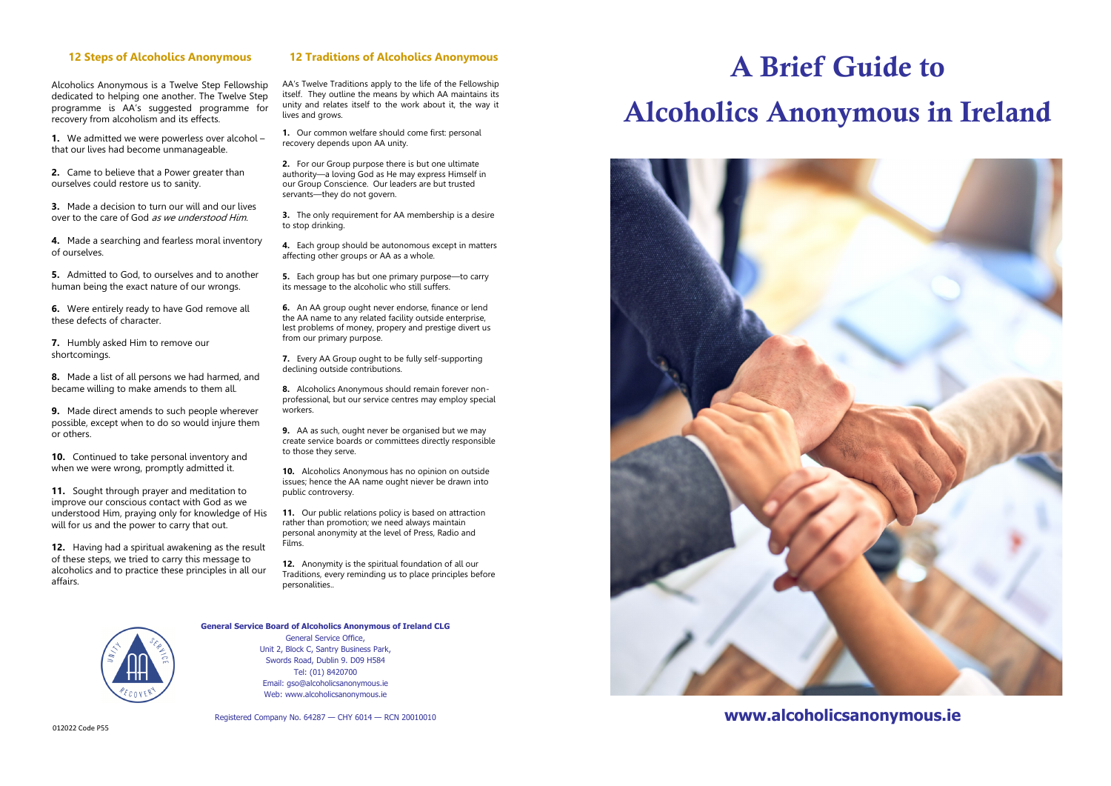#### **12 Steps of Alcoholics Anonymous**

Alcoholics Anonymous is a Twelve Step Fellowship dedicated to helping one another. The Twelve Step programme is AA's suggested programme for recovery from alcoholism and its effects.

**1.** We admitted we were powerless over alcohol – that our lives had become unmanageable.

**2.** Came to believe that a Power greater than ourselves could restore us to sanity.

**3.** Made a decision to turn our will and our lives over to the care of God as we understood Him.

**4.** Made a searching and fearless moral inventory of ourselves.

**5.** Admitted to God, to ourselves and to another human being the exact nature of our wrongs.

**6.** Were entirely ready to have God remove all these defects of character.

**7.** Humbly asked Him to remove our shortcomings.

**8.** Made a list of all persons we had harmed, and became willing to make amends to them all.

**9.** Made direct amends to such people wherever possible, except when to do so would injure them or others.

**10.** Continued to take personal inventory and when we were wrong, promptly admitted it.

**11.** Sought through prayer and meditation to improve our conscious contact with God as we understood Him, praying only for knowledge of His will for us and the power to carry that out.

**12.** Having had a spiritual awakening as the result of these steps, we tried to carry this message to alcoholics and to practice these principles in all our affairs.

#### **12 Traditions of Alcoholics Anonymous**

AA's Twelve Traditions apply to the life of the Fellowship itself. They outline the means by which AA maintains its unity and relates itself to the work about it, the way it lives and grows.

**1.** Our common welfare should come first: personal recovery depends upon AA unity.

**2.** For our Group purpose there is but one ultimate authority—a loving God as He may express Himself in our Group Conscience. Our leaders are but trusted servants—they do not govern.

**3.** The only requirement for AA membership is a desire to stop drinking.

**4.** Each group should be autonomous except in matters affecting other groups or AA as a whole.

**5.** Each group has but one primary purpose—to carry its message to the alcoholic who still suffers.

**6.** An AA group ought never endorse, finance or lend the AA name to any related facility outside enterprise, lest problems of money, propery and prestige divert us from our primary purpose.

**7.** Every AA Group ought to be fully self-supporting declining outside contributions.

**8.** Alcoholics Anonymous should remain forever nonprofessional, but our service centres may employ special workers.

**9.** AA as such, ought never be organised but we may create service boards or committees directly responsible to those they serve.

**10.** Alcoholics Anonymous has no opinion on outside issues; hence the AA name ought niever be drawn into public controversy.

11. Our public relations policy is based on attraction rather than promotion; we need always maintain personal anonymity at the level of Press, Radio and Films.

**12.** Anonymity is the spiritual foundation of all our Traditions, every reminding us to place principles before personalities..



#### **General Service Board of Alcoholics Anonymous of Ireland CLG**

General Service Office, Unit 2, Block C, Santry Business Park, Swords Road, Dublin 9. D09 H584 Tel: (01) 8420700 Email: gso@alcoholicsanonymous.ie Web: www.alcoholicsanonymous.ie

Registered Company No. 64287 — CHY 6014 — RCN 20010010

# A Brief Guide to Alcoholics Anonymous in Ireland



**www.alcoholicsanonymous.ie**